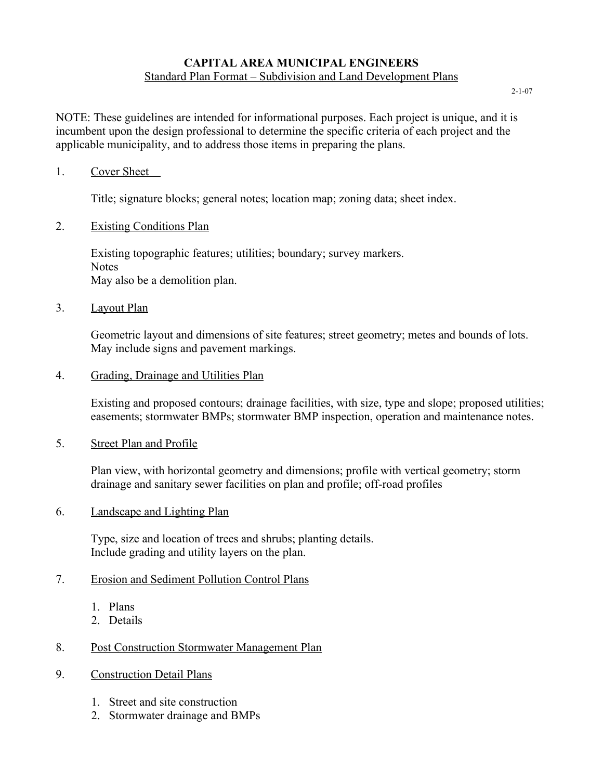## **CAPITAL AREA MUNICIPAL ENGINEERS** Standard Plan Format – Subdivision and Land Development Plans

2-1-07

NOTE: These guidelines are intended for informational purposes. Each project is unique, and it is incumbent upon the design professional to determine the specific criteria of each project and the applicable municipality, and to address those items in preparing the plans.

#### 1. Cover Sheet

Title; signature blocks; general notes; location map; zoning data; sheet index.

### 2. Existing Conditions Plan

Existing topographic features; utilities; boundary; survey markers. **Notes** May also be a demolition plan.

#### 3. Layout Plan

Geometric layout and dimensions of site features; street geometry; metes and bounds of lots. May include signs and pavement markings.

#### 4. Grading, Drainage and Utilities Plan

Existing and proposed contours; drainage facilities, with size, type and slope; proposed utilities; easements; stormwater BMPs; stormwater BMP inspection, operation and maintenance notes.

#### 5. Street Plan and Profile

Plan view, with horizontal geometry and dimensions; profile with vertical geometry; storm drainage and sanitary sewer facilities on plan and profile; off-road profiles

#### 6. Landscape and Lighting Plan

Type, size and location of trees and shrubs; planting details. Include grading and utility layers on the plan.

## 7. Erosion and Sediment Pollution Control Plans

- 1. Plans
- 2. Details

# 8. Post Construction Stormwater Management Plan

- 9. Construction Detail Plans
	- 1. Street and site construction
	- 2. Stormwater drainage and BMPs